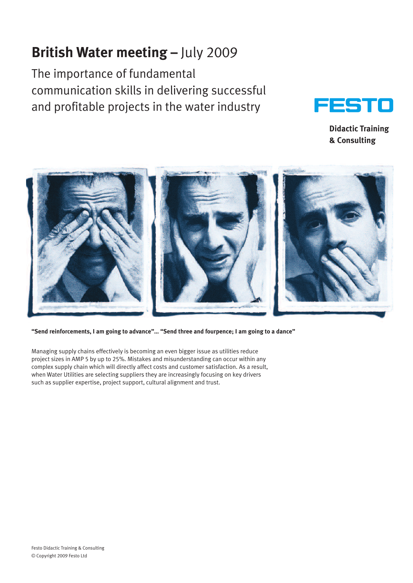# **British Water meeting –** July 2009

The importance of fundamental communication skills in delivering successful and profitable projects in the water industry



**Didactic Training & Consulting**



**"Send reinforcements, I am going to advance"… "Send three and fourpence; I am going to a dance"**

Managing supply chains effectively is becoming an even bigger issue as utilities reduce project sizes in AMP 5 by up to 25%. Mistakes and misunderstanding can occur within any complex supply chain which will directly affect costs and customer satisfaction. As a result, when Water Utilities are selecting suppliers they are increasingly focusing on key drivers such as supplier expertise, project support, cultural alignment and trust.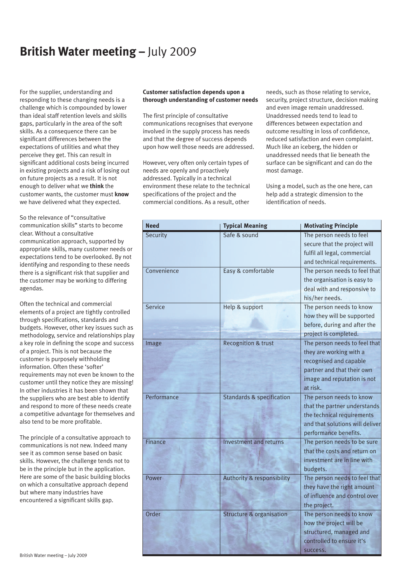# **British Water meeting –** July 2009

For the supplier, understanding and responding to these changing needs is a challenge which is compounded by lower than ideal staff retention levels and skills gaps, particularly in the area of the soft skills. As a consequence there can be significant differences between the expectations of utilities and what they perceive they get. This can result in significant additional costs being incurred in existing projects and a risk of losing out on future projects as a result. It is not enough to deliver what we **think** the customer wants, the customer must **know** we have delivered what they expected.

So the relevance of "consultative communication skills" starts to become clear. Without a consultative communication approach, supported by appropriate skills, many customer needs or expectations tend to be overlooked. By not identifying and responding to these needs there is a significant risk that supplier and the customer may be working to differing agendas.

Often the technical and commercial elements of a project are tightly controlled through specifications, standards and budgets. However, other key issues such as methodology, service and relationships play a key role in defining the scope and success of a project. This is not because the customer is purposely withholding information. Often these 'softer' requirements may not even be known to the customer until they notice they are missing! In other industries it has been shown that the suppliers who are best able to identify and respond to more of these needs create a competitive advantage for themselves and also tend to be more profitable.

The principle of a consultative approach to communications is not new. Indeed many see it as common sense based on basic skills. However, the challenge tends not to be in the principle but in the application. Here are some of the basic building blocks on which a consultative approach depend but where many industries have encountered a significant skills gap.

## **Customer satisfaction depends upon a thorough understanding of customer needs**

The first principle of consultative communications recognises that everyone involved in the supply process has needs and that the degree of success depends upon how well those needs are addressed.

However, very often only certain types of needs are openly and proactively addressed. Typically in a technical environment these relate to the technical specifications of the project and the commercial conditions. As a result, other

needs, such as those relating to service, security, project structure, decision making and even image remain unaddressed. Unaddressed needs tend to lead to differences between expectation and outcome resulting in loss of confidence, reduced satisfaction and even complaint. Much like an iceberg, the hidden or unaddressed needs that lie beneath the surface can be significant and can do the most damage.

Using a model, such as the one here, can help add a strategic dimension to the identification of needs.

| <b>Need</b>     | <b>Typical Meaning</b>               | <b>Motivating Principle</b>     |
|-----------------|--------------------------------------|---------------------------------|
| <b>Security</b> | Safe & sound                         | The person needs to feel        |
|                 |                                      | secure that the project will    |
|                 |                                      | fulfil all legal, commercial    |
|                 |                                      | and technical requirements.     |
| Convenience     | Easy & comfortable                   | The person needs to feel that   |
|                 |                                      | the organisation is easy to     |
|                 |                                      | deal with and responsive to     |
|                 |                                      | his/her needs.                  |
| Service         | Help & support                       | The person needs to know        |
|                 |                                      | how they will be supported      |
|                 |                                      | before, during and after the    |
|                 |                                      | project is completed.           |
| Image           | <b>Recognition &amp; trust</b>       | The person needs to feel that   |
|                 |                                      | they are working with a         |
|                 |                                      | recognised and capable          |
|                 |                                      | partner and that their own      |
|                 |                                      | image and reputation is not     |
|                 |                                      | at risk.                        |
| Performance     | <b>Standards &amp; specification</b> | The person needs to know        |
|                 |                                      | that the partner understands    |
|                 |                                      | the technical requirements      |
|                 |                                      | and that solutions will deliver |
|                 |                                      | performance benefits.           |
| <b>Finance</b>  | <b>Investment and returns</b>        | The person needs to be sure     |
|                 |                                      | that the costs and return on    |
|                 |                                      | investment are in line with     |
|                 |                                      | budgets.                        |
| Power           | Authority & responsibility           | The person needs to feel that   |
|                 |                                      | they have the right amount      |
|                 |                                      | of influence and control over   |
|                 |                                      | the project.                    |
| Order           | <b>Structure &amp; organisation</b>  | The person needs to know        |
|                 |                                      | how the project will be         |
|                 |                                      | structured, managed and         |
|                 |                                      | controlled to ensure it's       |
|                 |                                      | success.                        |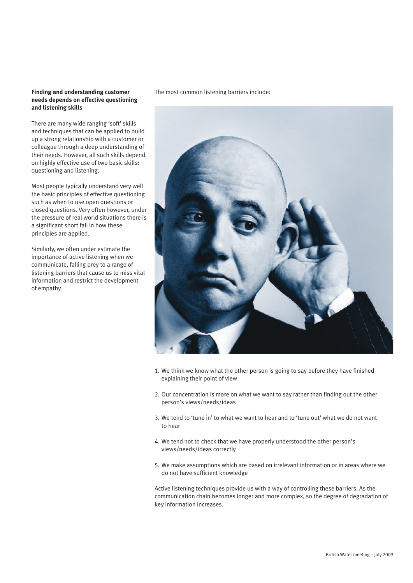## **Finding and understanding customer needs depends on effective questioning and listening skills**

There are many wide ranging 'soft' skills and techniques that can be applied to build up a strong relationship with a customer or colleague through a deep understanding of their needs. However, all such skills depend on highly effective use of two basic skills: questioning and listening.

Most people typically understand very well the basic principles of effective questioning such as when to use open questions or closed questions. Very often however, under the pressure of real world situations there is a significant short fall in how these principles are applied.

Similarly, we often under estimate the importance of active listening when we communicate, falling prey to a range of listening barriers that cause us to miss vital information and restrict the development of empathy.

The most common listening barriers include:



- 1. We think we know what the other person is going to say before they have finished explaining their point of view
- 2. Our concentration is more on what we want to say rather than finding out the other person's views/needs/ideas
- 3. We tend to 'tune in' to what we want to hear and to 'tune out' what we do not want to hear
- 4. We tend not to check that we have properly understood the other person's views/needs/ideas correctly
- 5. We make assumptions which are based on irrelevant information or in areas where we do not have sufficient knowledge

Active listening techniques provide us with a way of controlling these barriers. As the communication chain becomes longer and more complex, so the degree of degradation of key information increases.